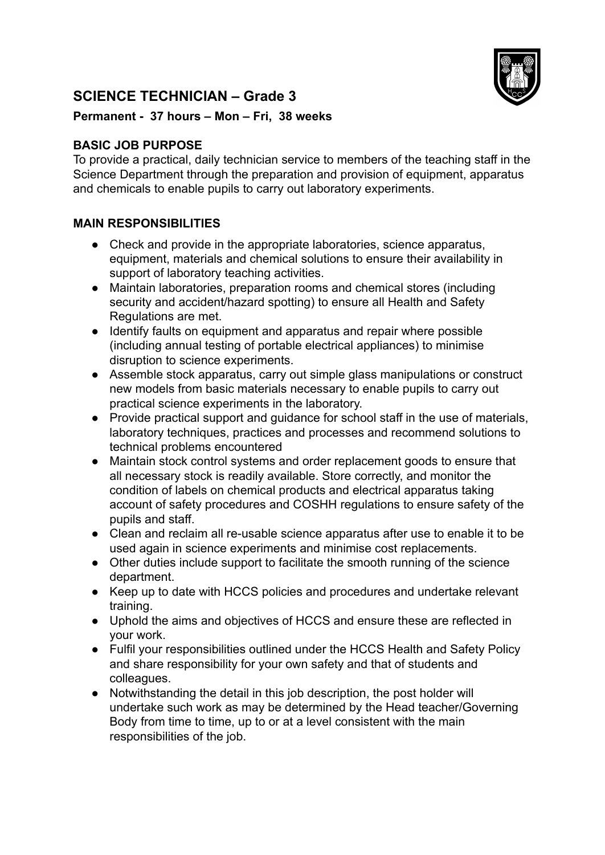## **SCIENCE TECHNICIAN – Grade 3**



## **Permanent - 37 hours – Mon – Fri, 38 weeks**

## **BASIC JOB PURPOSE**

To provide a practical, daily technician service to members of the teaching staff in the Science Department through the preparation and provision of equipment, apparatus and chemicals to enable pupils to carry out laboratory experiments.

## **MAIN RESPONSIBILITIES**

- Check and provide in the appropriate laboratories, science apparatus, equipment, materials and chemical solutions to ensure their availability in support of laboratory teaching activities.
- Maintain laboratories, preparation rooms and chemical stores (including security and accident/hazard spotting) to ensure all Health and Safety Regulations are met.
- Identify faults on equipment and apparatus and repair where possible (including annual testing of portable electrical appliances) to minimise disruption to science experiments.
- Assemble stock apparatus, carry out simple glass manipulations or construct new models from basic materials necessary to enable pupils to carry out practical science experiments in the laboratory.
- Provide practical support and guidance for school staff in the use of materials, laboratory techniques, practices and processes and recommend solutions to technical problems encountered
- Maintain stock control systems and order replacement goods to ensure that all necessary stock is readily available. Store correctly, and monitor the condition of labels on chemical products and electrical apparatus taking account of safety procedures and COSHH regulations to ensure safety of the pupils and staff.
- Clean and reclaim all re-usable science apparatus after use to enable it to be used again in science experiments and minimise cost replacements.
- Other duties include support to facilitate the smooth running of the science department.
- Keep up to date with HCCS policies and procedures and undertake relevant training.
- Uphold the aims and objectives of HCCS and ensure these are reflected in your work.
- Fulfil your responsibilities outlined under the HCCS Health and Safety Policy and share responsibility for your own safety and that of students and colleagues.
- Notwithstanding the detail in this job description, the post holder will undertake such work as may be determined by the Head teacher/Governing Body from time to time, up to or at a level consistent with the main responsibilities of the job.